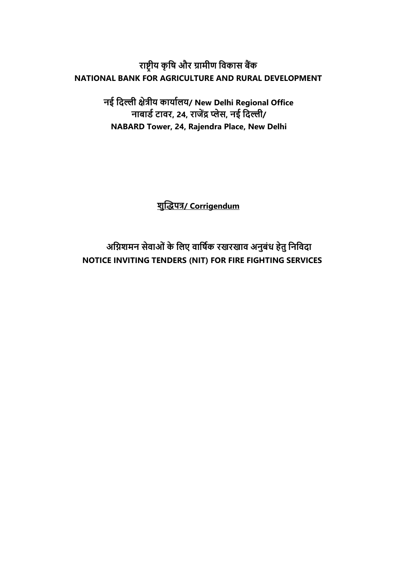**राष्ट्रीय कृषि और ग्रामीण षिकास बैंक NATIONAL BANK FOR AGRICULTURE AND RURAL DEVELOPMENT**

> **नई षिल्ली क्षेत्रीय कायाालय/ New Delhi Regional Office नाबार्ा टािर, 24, राजेंद्र प्लेस, नई षिल्ली/ NABARD Tower, 24, Rajendra Place, New Delhi**

> > **शुद्धिपत्र/ Corrigendum**

**अषिशमन सेिाओंके षलए िाषिाक रखरखाि अनुबंध हेतु षनषििा NOTICE INVITING TENDERS (NIT) FOR FIRE FIGHTING SERVICES**